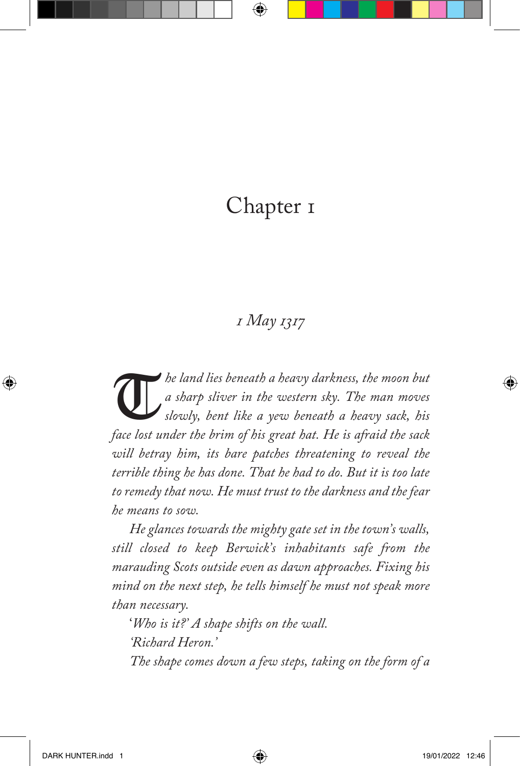## Chapter 1

## *1 May 1317*

*The land lies beneath a heavy darkness, the moon but*<br>*a sharp sliver in the western sky. The man moves*<br>*slowly, bent like a yew beneath a heavy sack, his a sharp sliver in the western sky. The man moves slowly, bent like a yew beneath a heavy sack, his face lost under the brim of his great hat. He is afraid the sack will betray him, its bare patches threatening to reveal the terrible thing he has done. That he had to do. But it is too late to remedy that now. He must trust to the darkness and the fear he means to sow.*

*He glances towards the mighty gate set in the town's walls, still closed to keep Berwick's inhabitants safe from the marauding Scots outside even as dawn approaches. Fixing his mind on the next step, he tells himself he must not speak more than necessary.* 

'*Who is it?' A shape shifts on the wall. 'Richard Heron.'*

*The shape comes down a few steps, taking on the form of a*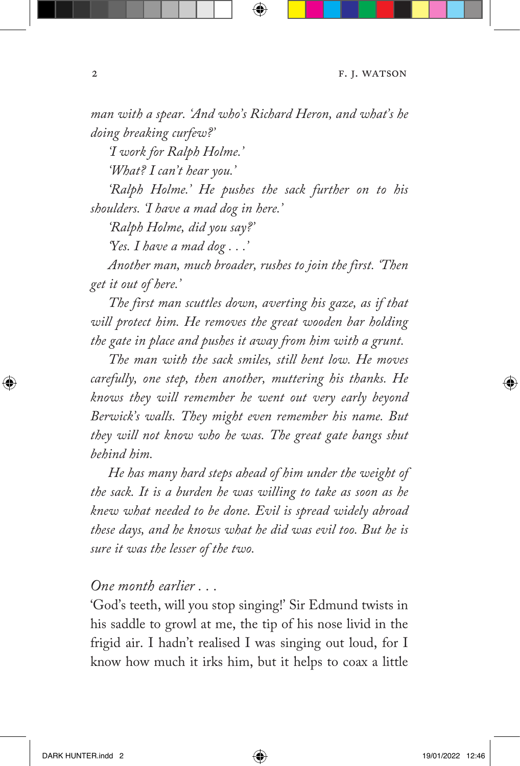*man with a spear. 'And who's Richard Heron, and what's he doing breaking curfew?'*

*'I work for Ralph Holme.'*

*'What? I can't hear you.'*

*'Ralph Holme.' He pushes the sack further on to his shoulders. 'I have a mad dog in here.'*

*'Ralph Holme, did you say?'*

*'Yes. I have a mad dog . . .'*

*Another man, much broader, rushes to join the first. 'Then get it out of here.'* 

*The first man scuttles down, averting his gaze, as if that will protect him. He removes the great wooden bar holding the gate in place and pushes it away from him with a grunt.*

*The man with the sack smiles, still bent low. He moves carefully, one step, then another, muttering his thanks. He knows they will remember he went out very early beyond Berwick's walls. They might even remember his name. But they will not know who he was. The great gate bangs shut behind him.*

*He has many hard steps ahead of him under the weight of the sack. It is a burden he was willing to take as soon as he knew what needed to be done. Evil is spread widely abroad these days, and he knows what he did was evil too. But he is sure it was the lesser of the two.* 

## *One month earlier . . .*

'God's teeth, will you stop singing!' Sir Edmund twists in his saddle to growl at me, the tip of his nose livid in the frigid air. I hadn't realised I was singing out loud, for I know how much it irks him, but it helps to coax a little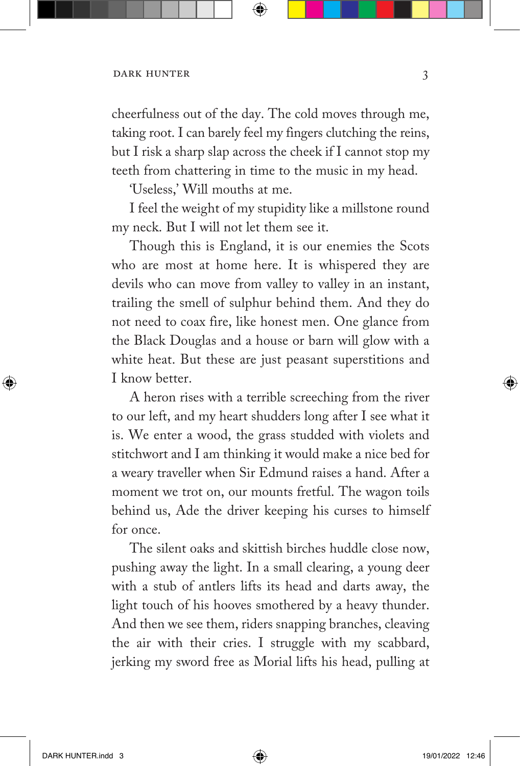cheerfulness out of the day. The cold moves through me, taking root. I can barely feel my fingers clutching the reins, but I risk a sharp slap across the cheek if I cannot stop my teeth from chattering in time to the music in my head.

'Useless,' Will mouths at me.

I feel the weight of my stupidity like a millstone round my neck. But I will not let them see it.

Though this is England, it is our enemies the Scots who are most at home here. It is whispered they are devils who can move from valley to valley in an instant, trailing the smell of sulphur behind them. And they do not need to coax fire, like honest men. One glance from the Black Douglas and a house or barn will glow with a white heat. But these are just peasant superstitions and I know better.

A heron rises with a terrible screeching from the river to our left, and my heart shudders long after I see what it is. We enter a wood, the grass studded with violets and stitchwort and I am thinking it would make a nice bed for a weary traveller when Sir Edmund raises a hand. After a moment we trot on, our mounts fretful. The wagon toils behind us, Ade the driver keeping his curses to himself for once.

The silent oaks and skittish birches huddle close now, pushing away the light. In a small clearing, a young deer with a stub of antlers lifts its head and darts away, the light touch of his hooves smothered by a heavy thunder. And then we see them, riders snapping branches, cleaving the air with their cries. I struggle with my scabbard, jerking my sword free as Morial lifts his head, pulling at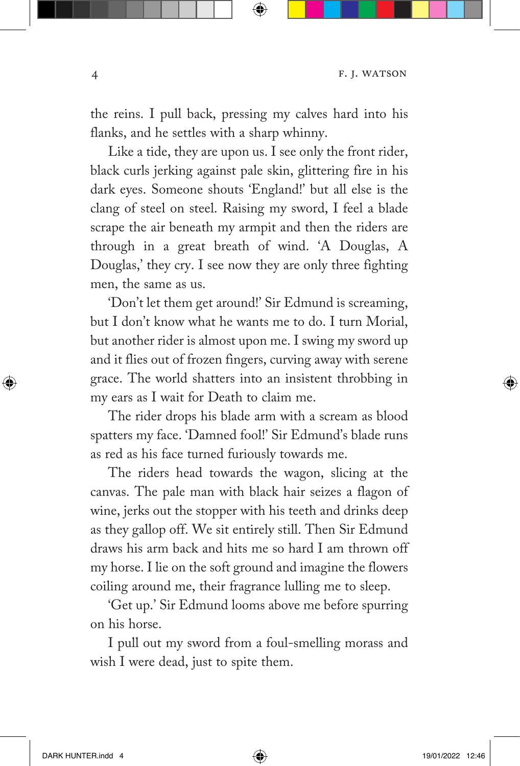the reins. I pull back, pressing my calves hard into his flanks, and he settles with a sharp whinny.

Like a tide, they are upon us. I see only the front rider, black curls jerking against pale skin, glittering fire in his dark eyes. Someone shouts 'England!' but all else is the clang of steel on steel. Raising my sword, I feel a blade scrape the air beneath my armpit and then the riders are through in a great breath of wind. 'A Douglas, A Douglas,' they cry. I see now they are only three fighting men, the same as us.

'Don't let them get around!' Sir Edmund is screaming, but I don't know what he wants me to do. I turn Morial, but another rider is almost upon me. I swing my sword up and it flies out of frozen fingers, curving away with serene grace. The world shatters into an insistent throbbing in my ears as I wait for Death to claim me.

The rider drops his blade arm with a scream as blood spatters my face. 'Damned fool!' Sir Edmund's blade runs as red as his face turned furiously towards me.

The riders head towards the wagon, slicing at the canvas. The pale man with black hair seizes a flagon of wine, jerks out the stopper with his teeth and drinks deep as they gallop off. We sit entirely still. Then Sir Edmund draws his arm back and hits me so hard I am thrown off my horse. I lie on the soft ground and imagine the flowers coiling around me, their fragrance lulling me to sleep.

'Get up.' Sir Edmund looms above me before spurring on his horse.

I pull out my sword from a foul-smelling morass and wish I were dead, just to spite them.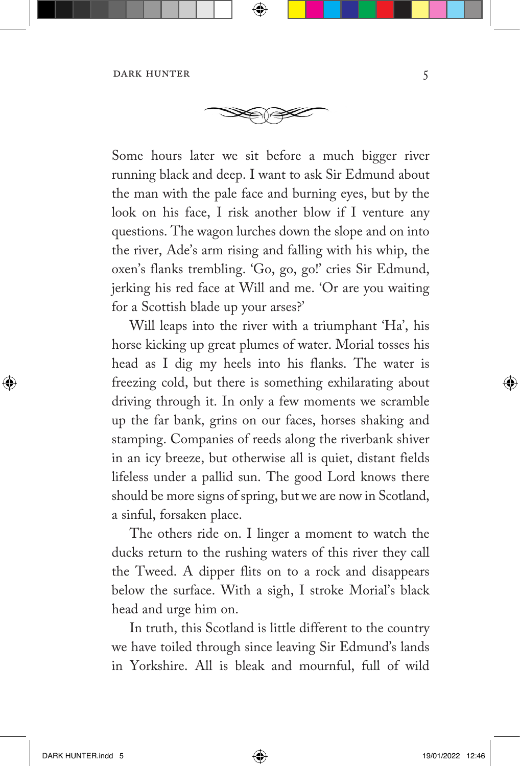

Some hours later we sit before a much bigger river running black and deep. I want to ask Sir Edmund about the man with the pale face and burning eyes, but by the look on his face, I risk another blow if I venture any questions. The wagon lurches down the slope and on into the river, Ade's arm rising and falling with his whip, the oxen's flanks trembling. 'Go, go, go!' cries Sir Edmund, jerking his red face at Will and me. 'Or are you waiting for a Scottish blade up your arses?'

Will leaps into the river with a triumphant 'Ha', his horse kicking up great plumes of water. Morial tosses his head as I dig my heels into his flanks. The water is freezing cold, but there is something exhilarating about driving through it. In only a few moments we scramble up the far bank, grins on our faces, horses shaking and stamping. Companies of reeds along the riverbank shiver in an icy breeze, but otherwise all is quiet, distant fields lifeless under a pallid sun. The good Lord knows there should be more signs of spring, but we are now in Scotland, a sinful, forsaken place.

The others ride on. I linger a moment to watch the ducks return to the rushing waters of this river they call the Tweed. A dipper flits on to a rock and disappears below the surface. With a sigh, I stroke Morial's black head and urge him on.

In truth, this Scotland is little different to the country we have toiled through since leaving Sir Edmund's lands in Yorkshire. All is bleak and mournful, full of wild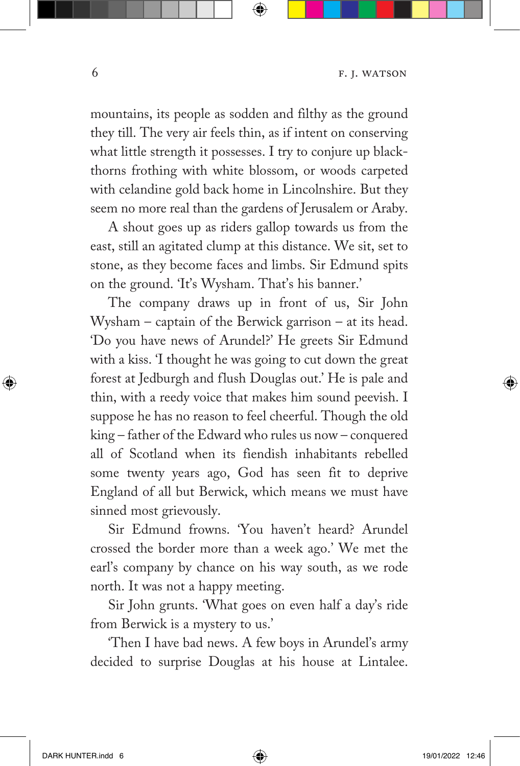mountains, its people as sodden and filthy as the ground they till. The very air feels thin, as if intent on conserving what little strength it possesses. I try to conjure up blackthorns frothing with white blossom, or woods carpeted with celandine gold back home in Lincolnshire. But they seem no more real than the gardens of Jerusalem or Araby.

A shout goes up as riders gallop towards us from the east, still an agitated clump at this distance. We sit, set to stone, as they become faces and limbs. Sir Edmund spits on the ground. 'It's Wysham. That's his banner.'

The company draws up in front of us, Sir John Wysham – captain of the Berwick garrison – at its head. 'Do you have news of Arundel?' He greets Sir Edmund with a kiss. 'I thought he was going to cut down the great forest at Jedburgh and flush Douglas out.' He is pale and thin, with a reedy voice that makes him sound peevish. I suppose he has no reason to feel cheerful. Though the old king – father of the Edward who rules us now – conquered all of Scotland when its fiendish inhabitants rebelled some twenty years ago, God has seen fit to deprive England of all but Berwick, which means we must have sinned most grievously.

Sir Edmund frowns. 'You haven't heard? Arundel crossed the border more than a week ago.' We met the earl's company by chance on his way south, as we rode north. It was not a happy meeting.

Sir John grunts. 'What goes on even half a day's ride from Berwick is a mystery to us.'

'Then I have bad news. A few boys in Arundel's army decided to surprise Douglas at his house at Lintalee.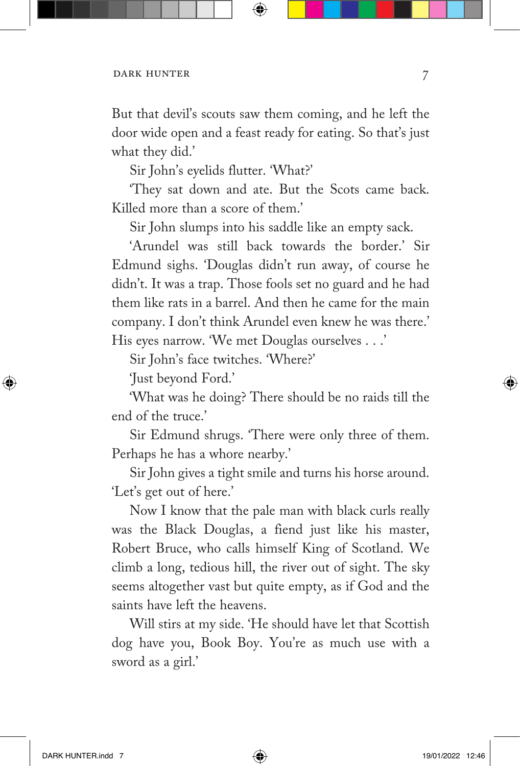But that devil's scouts saw them coming, and he left the door wide open and a feast ready for eating. So that's just what they did.'

Sir John's eyelids flutter. 'What?'

'They sat down and ate. But the Scots came back. Killed more than a score of them.'

Sir John slumps into his saddle like an empty sack.

'Arundel was still back towards the border.' Sir Edmund sighs. 'Douglas didn't run away, of course he didn't. It was a trap. Those fools set no guard and he had them like rats in a barrel. And then he came for the main company. I don't think Arundel even knew he was there.' His eyes narrow. 'We met Douglas ourselves . . .'

Sir John's face twitches. 'Where?'

'Just beyond Ford.'

'What was he doing? There should be no raids till the end of the truce.'

Sir Edmund shrugs. 'There were only three of them. Perhaps he has a whore nearby.'

Sir John gives a tight smile and turns his horse around. 'Let's get out of here.'

Now I know that the pale man with black curls really was the Black Douglas, a fiend just like his master, Robert Bruce, who calls himself King of Scotland. We climb a long, tedious hill, the river out of sight. The sky seems altogether vast but quite empty, as if God and the saints have left the heavens.

Will stirs at my side. 'He should have let that Scottish dog have you, Book Boy. You're as much use with a sword as a girl.'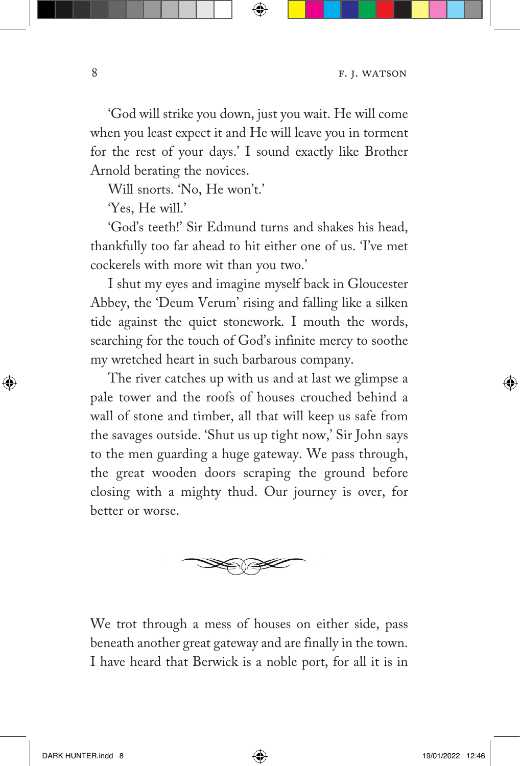'God will strike you down, just you wait. He will come when you least expect it and He will leave you in torment for the rest of your days.' I sound exactly like Brother Arnold berating the novices.

Will snorts. 'No, He won't.'

'Yes, He will.'

'God's teeth!' Sir Edmund turns and shakes his head, thankfully too far ahead to hit either one of us. 'I've met cockerels with more wit than you two.'

I shut my eyes and imagine myself back in Gloucester Abbey, the 'Deum Verum' rising and falling like a silken tide against the quiet stonework. I mouth the words, searching for the touch of God's infinite mercy to soothe my wretched heart in such barbarous company.

The river catches up with us and at last we glimpse a pale tower and the roofs of houses crouched behind a wall of stone and timber, all that will keep us safe from the savages outside. 'Shut us up tight now,' Sir John says to the men guarding a huge gateway. We pass through, the great wooden doors scraping the ground before closing with a mighty thud. Our journey is over, for better or worse.



We trot through a mess of houses on either side, pass beneath another great gateway and are finally in the town. I have heard that Berwick is a noble port, for all it is in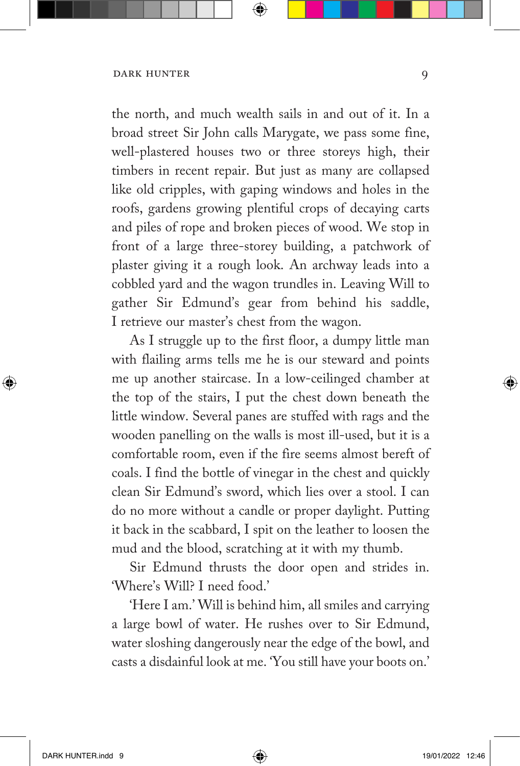the north, and much wealth sails in and out of it. In a broad street Sir John calls Marygate, we pass some fine, well-plastered houses two or three storeys high, their timbers in recent repair. But just as many are collapsed like old cripples, with gaping windows and holes in the roofs, gardens growing plentiful crops of decaying carts and piles of rope and broken pieces of wood. We stop in front of a large three-storey building, a patchwork of plaster giving it a rough look. An archway leads into a cobbled yard and the wagon trundles in. Leaving Will to gather Sir Edmund's gear from behind his saddle, I retrieve our master's chest from the wagon.

As I struggle up to the first floor, a dumpy little man with flailing arms tells me he is our steward and points me up another staircase. In a low-ceilinged chamber at the top of the stairs, I put the chest down beneath the little window. Several panes are stuffed with rags and the wooden panelling on the walls is most ill-used, but it is a comfortable room, even if the fire seems almost bereft of coals. I find the bottle of vinegar in the chest and quickly clean Sir Edmund's sword, which lies over a stool. I can do no more without a candle or proper daylight. Putting it back in the scabbard, I spit on the leather to loosen the mud and the blood, scratching at it with my thumb.

Sir Edmund thrusts the door open and strides in. 'Where's Will? I need food.'

'Here I am.' Will is behind him, all smiles and carrying a large bowl of water. He rushes over to Sir Edmund, water sloshing dangerously near the edge of the bowl, and casts a disdainful look at me. 'You still have your boots on.'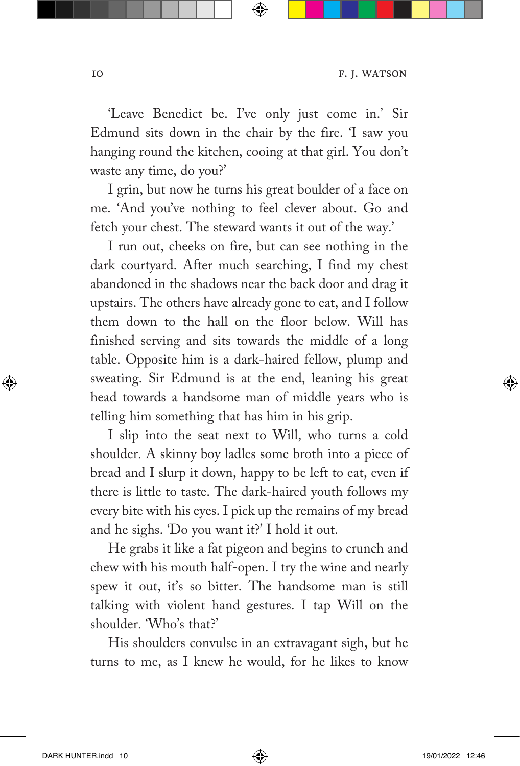'Leave Benedict be. I've only just come in.' Sir Edmund sits down in the chair by the fire. 'I saw you hanging round the kitchen, cooing at that girl. You don't waste any time, do you?'

I grin, but now he turns his great boulder of a face on me. 'And you've nothing to feel clever about. Go and fetch your chest. The steward wants it out of the way.'

I run out, cheeks on fire, but can see nothing in the dark courtyard. After much searching, I find my chest abandoned in the shadows near the back door and drag it upstairs. The others have already gone to eat, and I follow them down to the hall on the floor below. Will has finished serving and sits towards the middle of a long table. Opposite him is a dark-haired fellow, plump and sweating. Sir Edmund is at the end, leaning his great head towards a handsome man of middle years who is telling him something that has him in his grip.

I slip into the seat next to Will, who turns a cold shoulder. A skinny boy ladles some broth into a piece of bread and I slurp it down, happy to be left to eat, even if there is little to taste. The dark-haired youth follows my every bite with his eyes. I pick up the remains of my bread and he sighs. 'Do you want it?' I hold it out.

He grabs it like a fat pigeon and begins to crunch and chew with his mouth half-open. I try the wine and nearly spew it out, it's so bitter. The handsome man is still talking with violent hand gestures. I tap Will on the shoulder. 'Who's that?'

His shoulders convulse in an extravagant sigh, but he turns to me, as I knew he would, for he likes to know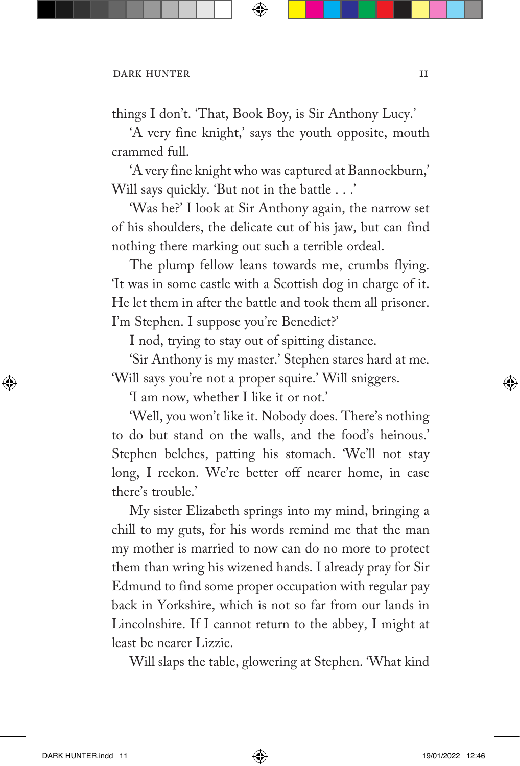things I don't. 'That, Book Boy, is Sir Anthony Lucy.'

'A very fine knight,' says the youth opposite, mouth crammed full.

'A very fine knight who was captured at Bannockburn,' Will says quickly. 'But not in the battle . . .'

'Was he?' I look at Sir Anthony again, the narrow set of his shoulders, the delicate cut of his jaw, but can find nothing there marking out such a terrible ordeal.

The plump fellow leans towards me, crumbs flying. 'It was in some castle with a Scottish dog in charge of it. He let them in after the battle and took them all prisoner. I'm Stephen. I suppose you're Benedict?'

I nod, trying to stay out of spitting distance.

'Sir Anthony is my master.' Stephen stares hard at me. 'Will says you're not a proper squire.' Will sniggers.

'I am now, whether I like it or not.'

'Well, you won't like it. Nobody does. There's nothing to do but stand on the walls, and the food's heinous.' Stephen belches, patting his stomach. 'We'll not stay long, I reckon. We're better off nearer home, in case there's trouble.'

My sister Elizabeth springs into my mind, bringing a chill to my guts, for his words remind me that the man my mother is married to now can do no more to protect them than wring his wizened hands. I already pray for Sir Edmund to find some proper occupation with regular pay back in Yorkshire, which is not so far from our lands in Lincolnshire. If I cannot return to the abbey, I might at least be nearer Lizzie.

Will slaps the table, glowering at Stephen. 'What kind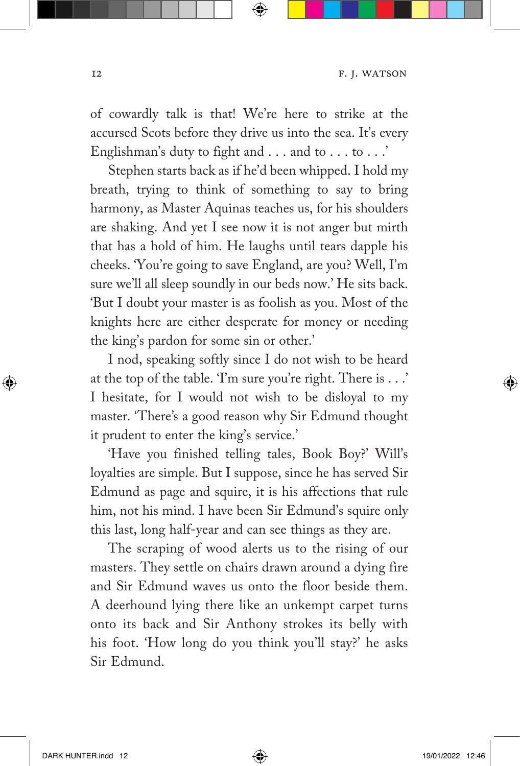of cowardly talk is that! We're here to strike at the accursed Scots before they drive us into the sea. It's every Englishman's duty to fight and . . . and to . . . to . . .'

Stephen starts back as if he'd been whipped. I hold my breath, trying to think of something to say to bring harmony, as Master Aquinas teaches us, for his shoulders are shaking. And yet I see now it is not anger but mirth that has a hold of him. He laughs until tears dapple his cheeks. 'You're going to save England, are you? Well, I'm sure we'll all sleep soundly in our beds now.' He sits back. 'But I doubt your master is as foolish as you. Most of the knights here are either desperate for money or needing the king's pardon for some sin or other.'

I nod, speaking softly since I do not wish to be heard at the top of the table. 'I'm sure you're right. There is . . .' I hesitate, for I would not wish to be disloyal to my master. 'There's a good reason why Sir Edmund thought it prudent to enter the king's service.'

'Have you finished telling tales, Book Boy?' Will's loyalties are simple. But I suppose, since he has served Sir Edmund as page and squire, it is his affections that rule him, not his mind. I have been Sir Edmund's squire only this last, long half-year and can see things as they are.

The scraping of wood alerts us to the rising of our masters. They settle on chairs drawn around a dying fire and Sir Edmund waves us onto the floor beside them. A deerhound lying there like an unkempt carpet turns onto its back and Sir Anthony strokes its belly with his foot. 'How long do you think you'll stay?' he asks Sir Edmund.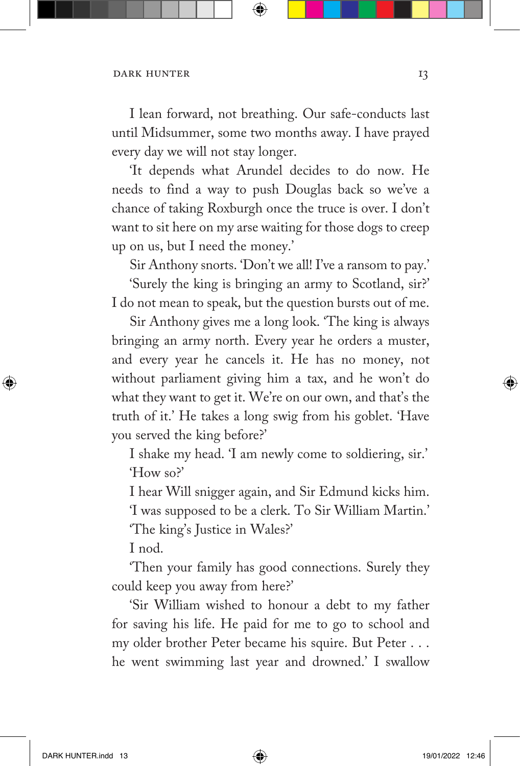I lean forward, not breathing. Our safe-conducts last until Midsummer, some two months away. I have prayed every day we will not stay longer.

'It depends what Arundel decides to do now. He needs to find a way to push Douglas back so we've a chance of taking Roxburgh once the truce is over. I don't want to sit here on my arse waiting for those dogs to creep up on us, but I need the money.'

Sir Anthony snorts. 'Don't we all! I've a ransom to pay.'

'Surely the king is bringing an army to Scotland, sir?' I do not mean to speak, but the question bursts out of me.

Sir Anthony gives me a long look. 'The king is always bringing an army north. Every year he orders a muster, and every year he cancels it. He has no money, not without parliament giving him a tax, and he won't do what they want to get it. We're on our own, and that's the truth of it.' He takes a long swig from his goblet. 'Have you served the king before?'

I shake my head. 'I am newly come to soldiering, sir.' 'How so?'

I hear Will snigger again, and Sir Edmund kicks him.

'I was supposed to be a clerk. To Sir William Martin.' 'The king's Justice in Wales?'

I nod.

'Then your family has good connections. Surely they could keep you away from here?'

'Sir William wished to honour a debt to my father for saving his life. He paid for me to go to school and my older brother Peter became his squire. But Peter . . . he went swimming last year and drowned.' I swallow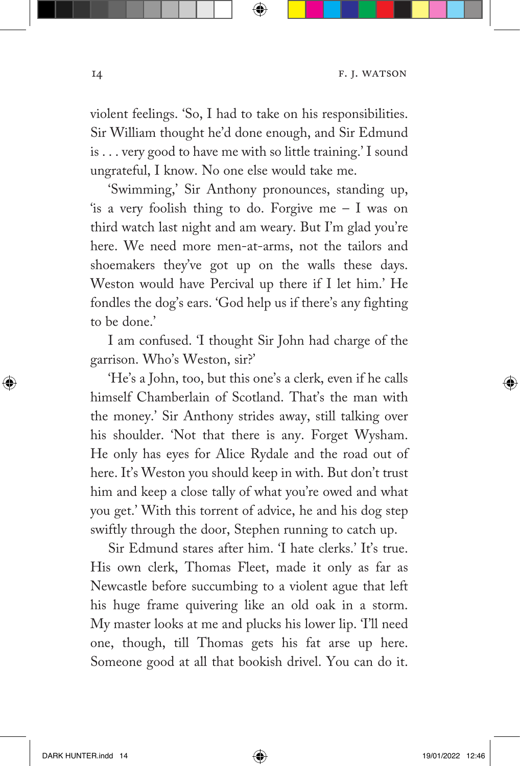violent feelings. 'So, I had to take on his responsibilities. Sir William thought he'd done enough, and Sir Edmund is . . . very good to have me with so little training.' I sound ungrateful, I know. No one else would take me.

'Swimming,' Sir Anthony pronounces, standing up, 'is a very foolish thing to do. Forgive me  $-$  I was on third watch last night and am weary. But I'm glad you're here. We need more men-at-arms, not the tailors and shoemakers they've got up on the walls these days. Weston would have Percival up there if I let him.' He fondles the dog's ears. 'God help us if there's any fighting to be done.'

I am confused. 'I thought Sir John had charge of the garrison. Who's Weston, sir?'

'He's a John, too, but this one's a clerk, even if he calls himself Chamberlain of Scotland. That's the man with the money.' Sir Anthony strides away, still talking over his shoulder. 'Not that there is any. Forget Wysham. He only has eyes for Alice Rydale and the road out of here. It's Weston you should keep in with. But don't trust him and keep a close tally of what you're owed and what you get.' With this torrent of advice, he and his dog step swiftly through the door, Stephen running to catch up.

Sir Edmund stares after him. 'I hate clerks.' It's true. His own clerk, Thomas Fleet, made it only as far as Newcastle before succumbing to a violent ague that left his huge frame quivering like an old oak in a storm. My master looks at me and plucks his lower lip. 'I'll need one, though, till Thomas gets his fat arse up here. Someone good at all that bookish drivel. You can do it.